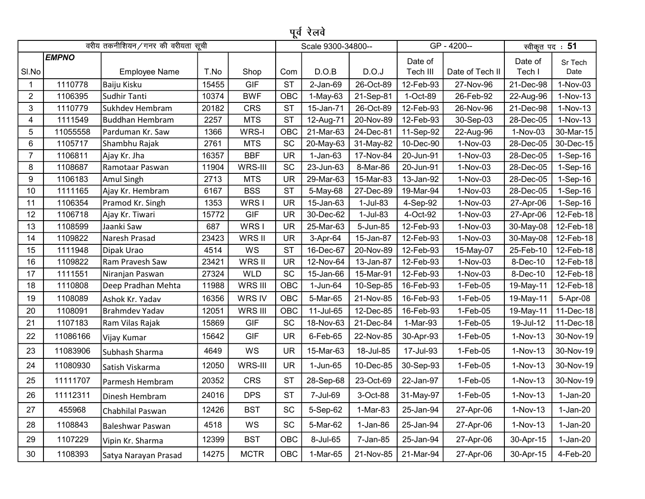|                |              |                                  |       |             |            | पूर्व रेलवे        |            |           |                 |                |            |
|----------------|--------------|----------------------------------|-------|-------------|------------|--------------------|------------|-----------|-----------------|----------------|------------|
|                |              | वरीय तकनीशियन/गनर की वरीयता सूची |       |             |            | Scale 9300-34800-- |            |           | GP - 4200--     | स्वीकृत पद: 51 |            |
|                | <b>EMPNO</b> |                                  |       |             |            |                    |            | Date of   |                 | Date of        | Sr Tech    |
| SI.No          |              | <b>Employee Name</b>             | T.No  | Shop        | Com        | D.O.B              | D.O.J      | Tech III  | Date of Tech II | Tech I         | Date       |
| 1              | 1110778      | Baiju Kisku                      | 15455 | <b>GIF</b>  | <b>ST</b>  | $2-Jan-69$         | 26-Oct-89  | 12-Feb-93 | 27-Nov-96       | 21-Dec-98      | $1-Nov-03$ |
| $\overline{2}$ | 1106395      | Sudhir Tanti                     | 10374 | <b>BWF</b>  | <b>OBC</b> | $1-May-63$         | 21-Sep-81  | 1-Oct-89  | 26-Feb-92       | 22-Aug-96      | $1-Nov-13$ |
| 3              | 1110779      | <b>Sukhdev Hembram</b>           | 20182 | <b>CRS</b>  | <b>ST</b>  | 15-Jan-71          | 26-Oct-89  | 12-Feb-93 | 26-Nov-96       | 21-Dec-98      | $1-Nov-13$ |
| 4              | 1111549      | <b>Buddhan Hembram</b>           | 2257  | <b>MTS</b>  | <b>ST</b>  | 12-Aug-71          | 20-Nov-89  | 12-Feb-93 | 30-Sep-03       | 28-Dec-05      | $1-Nov-13$ |
| 5              | 11055558     | Parduman Kr. Saw                 | 1366  | WRS-I       | OBC        | 21-Mar-63          | 24-Dec-81  | 11-Sep-92 | 22-Aug-96       | 1-Nov-03       | 30-Mar-15  |
| 6              | 1105717      | Shambhu Rajak                    | 2761  | <b>MTS</b>  | SC         | 20-May-63          | 31-May-82  | 10-Dec-90 | 1-Nov-03        | 28-Dec-05      | 30-Dec-15  |
| $\overline{7}$ | 1106811      | Ajay Kr. Jha                     | 16357 | <b>BBF</b>  | <b>UR</b>  | $1-Jan-63$         | 17-Nov-84  | 20-Jun-91 | 1-Nov-03        | 28-Dec-05      | $1-Sep-16$ |
| 8              | 1108687      | Ramotaar Paswan                  | 11904 | WRS-III     | <b>SC</b>  | 23-Jun-63          | 8-Mar-86   | 20-Jun-91 | 1-Nov-03        | 28-Dec-05      | $1-Sep-16$ |
| 9              | 1106183      | Amul Singh                       | 2713  | <b>MTS</b>  | <b>UR</b>  | 29-Mar-63          | 15-Mar-83  | 13-Jan-92 | 1-Nov-03        | 28-Dec-05      | $1-Sep-16$ |
| 10             | 1111165      | Ajay Kr. Hembram                 | 6167  | <b>BSS</b>  | <b>ST</b>  | 5-May-68           | 27-Dec-89  | 19-Mar-94 | 1-Nov-03        | 28-Dec-05      | $1-Sep-16$ |
| 11             | 1106354      | Pramod Kr. Singh                 | 1353  | WRS I       | <b>UR</b>  | 15-Jan-63          | $1-Jul-83$ | 4-Sep-92  | 1-Nov-03        | 27-Apr-06      | $1-Sep-16$ |
| 12             | 1106718      | Ajay Kr. Tiwari                  | 15772 | <b>GIF</b>  | <b>UR</b>  | 30-Dec-62          | 1-Jul-83   | 4-Oct-92  | 1-Nov-03        | 27-Apr-06      | 12-Feb-18  |
| 13             | 1108599      | Jaanki Saw                       | 687   | WRS I       | UR         | 25-Mar-63          | 5-Jun-85   | 12-Feb-93 | 1-Nov-03        | 30-May-08      | 12-Feb-18  |
| 14             | 1109822      | Naresh Prasad                    | 23423 | WRS II      | <b>UR</b>  | 3-Apr-64           | 15-Jan-87  | 12-Feb-93 | 1-Nov-03        | 30-May-08      | 12-Feb-18  |
| 15             | 1111948      | Dipak Urao                       | 4514  | WS          | <b>ST</b>  | 16-Dec-67          | 20-Nov-89  | 12-Feb-93 | 15-May-07       | 25-Feb-10      | 12-Feb-18  |
| 16             | 1109822      | Ram Pravesh Saw                  | 23421 | WRS II      | <b>UR</b>  | 12-Nov-64          | 13-Jan-87  | 12-Feb-93 | 1-Nov-03        | 8-Dec-10       | 12-Feb-18  |
| 17             | 1111551      | Niranjan Paswan                  | 27324 | <b>WLD</b>  | SC         | 15-Jan-66          | 15-Mar-91  | 12-Feb-93 | 1-Nov-03        | 8-Dec-10       | 12-Feb-18  |
| 18             | 1110808      | Deep Pradhan Mehta               | 11988 | WRS III     | OBC        | 1-Jun-64           | 10-Sep-85  | 16-Feb-93 | $1-Feb-05$      | 19-May-11      | 12-Feb-18  |
| 19             | 1108089      | Ashok Kr. Yadav                  | 16356 | WRS IV      | OBC        | 5-Mar-65           | 21-Nov-85  | 16-Feb-93 | 1-Feb-05        | 19-May-11      | 5-Apr-08   |
| 20             | 1108091      | <b>Brahmdev Yadav</b>            | 12051 | WRS III     | OBC        | 11-Jul-65          | 12-Dec-85  | 16-Feb-93 | $1-Feb-05$      | 19-May-11      | 11-Dec-18  |
| 21             | 1107183      | Ram Vilas Rajak                  | 15869 | <b>GIF</b>  | <b>SC</b>  | 18-Nov-63          | 21-Dec-84  | 1-Mar-93  | 1-Feb-05        | 19-Jul-12      | 11-Dec-18  |
| 22             | 11086166     | Vijay Kumar                      | 15642 | <b>GIF</b>  | <b>UR</b>  | 6-Feb-65           | 22-Nov-85  | 30-Apr-93 | $1-Feb-05$      | 1-Nov-13       | 30-Nov-19  |
| 23             | 11083906     | Subhash Sharma                   | 4649  | WS          | <b>UR</b>  | 15-Mar-63          | 18-Jul-85  | 17-Jul-93 | $1-Feb-05$      | 1-Nov-13       | 30-Nov-19  |
| 24             | 11080930     | Satish Viskarma                  | 12050 | WRS-III     | <b>UR</b>  | 1-Jun-65           | 10-Dec-85  | 30-Sep-93 | $1-Feb-05$      | 1-Nov-13       | 30-Nov-19  |
| 25             | 11111707     | Parmesh Hembram                  | 20352 | <b>CRS</b>  | <b>ST</b>  | 28-Sep-68          | 23-Oct-69  | 22-Jan-97 | $1-Feb-05$      | 1-Nov-13       | 30-Nov-19  |
| 26             | 11112311     | Dinesh Hembram                   | 24016 | <b>DPS</b>  | <b>ST</b>  | 7-Jul-69           | 3-Oct-88   | 31-May-97 | 1-Feb-05        | 1-Nov-13       | $1-Jan-20$ |
| 27             | 455968       | Chabhilal Paswan                 | 12426 | <b>BST</b>  | <b>SC</b>  | 5-Sep-62           | 1-Mar-83   | 25-Jan-94 | 27-Apr-06       | $1-Nov-13$     | $1-Jan-20$ |
| 28             | 1108843      | Baleshwar Paswan                 | 4518  | WS          | SC         | 5-Mar-62           | $1-Jan-86$ | 25-Jan-94 | 27-Apr-06       | $1-Nov-13$     | $1-Jan-20$ |
| 29             | 1107229      | Vipin Kr. Sharma                 | 12399 | <b>BST</b>  | <b>OBC</b> | 8-Jul-65           | 7-Jan-85   | 25-Jan-94 | 27-Apr-06       | 30-Apr-15      | $1-Jan-20$ |
| 30             | 1108393      | Satya Narayan Prasad             | 14275 | <b>MCTR</b> | OBC        | 1-Mar-65           | 21-Nov-85  | 21-Mar-94 | 27-Apr-06       | 30-Apr-15      | 4-Feb-20   |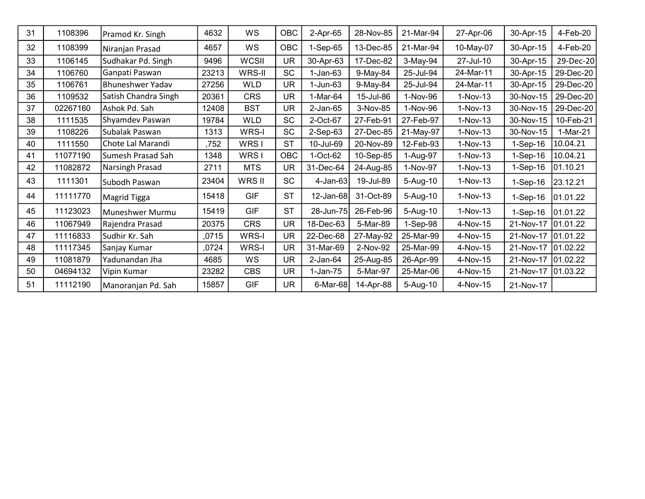| 31 | 1108396  | Pramod Kr. Singh        | 4632  | <b>WS</b>    | <b>OBC</b> | 2-Apr-65       | 28-Nov-85 | 21-Mar-94  | 27-Apr-06  | 30-Apr-15  | 4-Feb-20  |
|----|----------|-------------------------|-------|--------------|------------|----------------|-----------|------------|------------|------------|-----------|
| 32 | 1108399  | Niranjan Prasad         | 4657  | <b>WS</b>    | <b>OBC</b> | 1-Sep-65       | 13-Dec-85 | 21-Mar-94  | 10-May-07  | 30-Apr-15  | 4-Feb-20  |
| 33 | 1106145  | Sudhakar Pd. Singh      | 9496  | <b>WCSII</b> | <b>UR</b>  | 30-Apr-63      | 17-Dec-82 | 3-May-94   | 27-Jul-10  | 30-Apr-15  | 29-Dec-20 |
| 34 | 1106760  | Ganpati Paswan          | 23213 | WRS-II       | <b>SC</b>  | $1-Jan-63$     | 9-May-84  | 25-Jul-94  | 24-Mar-11  | 30-Apr-15  | 29-Dec-20 |
| 35 | 1106761  | <b>Bhuneshwer Yadav</b> | 27256 | <b>WLD</b>   | <b>UR</b>  | $1$ -Jun- $63$ | 9-May-84  | 25-Jul-94  | 24-Mar-11  | 30-Apr-15  | 29-Dec-20 |
| 36 | 1109532  | Satish Chandra Singh    | 20361 | <b>CRS</b>   | <b>UR</b>  | 1-Mar-64       | 15-Jul-86 | 1-Nov-96   | $1-Nov-13$ | 30-Nov-15  | 29-Dec-20 |
| 37 | 02267160 | Ashok Pd. Sah           | 12408 | <b>BST</b>   | <b>UR</b>  | $2$ -Jan- $65$ | 3-Nov-85  | 1-Nov-96   | $1-Nov-13$ | 30-Nov-15  | 29-Dec-20 |
| 38 | 1111535  | Shyamdev Paswan         | 19784 | <b>WLD</b>   | <b>SC</b>  | 2-Oct-67       | 27-Feb-91 | 27-Feb-97  | $1-Nov-13$ | 30-Nov-15  | 10-Feb-21 |
| 39 | 1108226  | Subalak Paswan          | 1313  | WRS-I        | <b>SC</b>  | $2-Sep-63$     | 27-Dec-85 | 21-May-97  | $1-Nov-13$ | 30-Nov-15  | 1-Mar-21  |
| 40 | 1111550  | Chote Lal Marandi       | 752   | WRS I        | <b>ST</b>  | 10-Jul-69      | 20-Nov-89 | 12-Feb-93  | $1-Nov-13$ | $1-Sep-16$ | 10.04.21  |
| 41 | 11077190 | Sumesh Prasad Sah       | 1348  | WRS I        | <b>OBC</b> | $1-Oct-62$     | 10-Sep-85 | 1-Aug-97   | $1-Nov-13$ | $1-Sep-16$ | 10.04.21  |
| 42 | 11082872 | Narsingh Prasad         | 2711  | <b>MTS</b>   | <b>UR</b>  | 31-Dec-64      | 24-Aug-85 | 1-Nov-97   | $1-Nov-13$ | $1-Sep-16$ | 01.10.21  |
| 43 | 1111301  | Subodh Paswan           | 23404 | WRS II       | <b>SC</b>  | $4$ -Jan-63    | 19-Jul-89 | 5-Aug-10   | $1-Nov-13$ | 1-Sep-16   | 23.12.21  |
| 44 | 11111770 | Magrid Tigga            | 15418 | <b>GIF</b>   | <b>ST</b>  | 12-Jan-68      | 31-Oct-89 | 5-Aug-10   | $1-Nov-13$ | $1-Sep-16$ | 01.01.22  |
| 45 | 11123023 | Muneshwer Murmu         | 15419 | <b>GIF</b>   | <b>ST</b>  | 28-Jun-75      | 26-Feb-96 | 5-Aug-10   | $1-Nov-13$ | $1-Sep-16$ | 01.01.22  |
| 46 | 11067949 | Rajendra Prasad         | 20375 | <b>CRS</b>   | <b>UR</b>  | 18-Dec-63      | 5-Mar-89  | $1-Sep-98$ | 4-Nov-15   | 21-Nov-17  | 01.01.22  |
| 47 | 11116833 | Sudhir Kr. Sah          | ,0715 | WRS-I        | UR         | 22-Dec-68      | 27-May-92 | 25-Mar-99  | 4-Nov-15   | 21-Nov-17  | 01.01.22  |
| 48 | 11117345 | Sanjay Kumar            | ,0724 | WRS-I        | UR         | 31-Mar-69      | 2-Nov-92  | 25-Mar-99  | 4-Nov-15   | 21-Nov-17  | 01.02.22  |
| 49 | 11081879 | Yadunandan Jha          | 4685  | <b>WS</b>    | <b>UR</b>  | $2$ -Jan- $64$ | 25-Aug-85 | 26-Apr-99  | 4-Nov-15   | 21-Nov-17  | 01.02.22  |
| 50 | 04694132 | Vipin Kumar             | 23282 | <b>CBS</b>   | <b>UR</b>  | $1-Jan-75$     | 5-Mar-97  | 25-Mar-06  | 4-Nov-15   | 21-Nov-17  | 01.03.22  |
| 51 | 11112190 | Manoranjan Pd. Sah      | 15857 | <b>GIF</b>   | UR.        | $6$ -Mar-68    | 14-Apr-88 | 5-Aug-10   | 4-Nov-15   | 21-Nov-17  |           |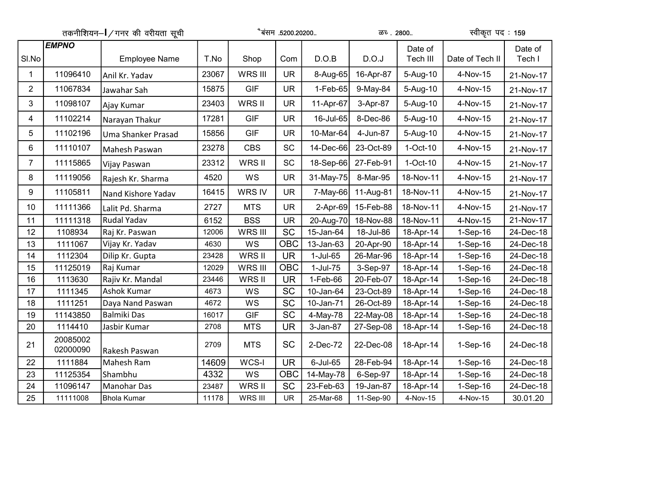|                |                      | तकनीशियन- <i> /</i> गनर की वरीयता सूची |       |            | ैबसम .5200.20200 |            | $\overline{\omega}$ $\overline{c}$ . 2800 |                     | स्वीकृत पद : 159 |                   |
|----------------|----------------------|----------------------------------------|-------|------------|------------------|------------|-------------------------------------------|---------------------|------------------|-------------------|
| SI.No          | <b>EMPNO</b>         | <b>Employee Name</b>                   | T.No  | Shop       | Com              | D.O.B      | D.O.J                                     | Date of<br>Tech III | Date of Tech II  | Date of<br>Tech I |
| $\mathbf{1}$   | 11096410             | Anil Kr. Yadav                         | 23067 | WRS III    | <b>UR</b>        | 8-Aug-65   | 16-Apr-87                                 | 5-Aug-10            | 4-Nov-15         | 21-Nov-17         |
| $\overline{2}$ | 11067834             | Jawahar Sah                            | 15875 | <b>GIF</b> | <b>UR</b>        | $1-Feb-65$ | 9-May-84                                  | 5-Aug-10            | 4-Nov-15         | 21-Nov-17         |
| 3              | 11098107             | Ajay Kumar                             | 23403 | WRS II     | <b>UR</b>        | 11-Apr-67  | 3-Apr-87                                  | 5-Aug-10            | 4-Nov-15         | 21-Nov-17         |
| 4              | 11102214             | Narayan Thakur                         | 17281 | <b>GIF</b> | <b>UR</b>        | 16-Jul-65  | 8-Dec-86                                  | 5-Aug-10            | 4-Nov-15         | 21-Nov-17         |
| 5              | 11102196             | Uma Shanker Prasad                     | 15856 | <b>GIF</b> | <b>UR</b>        | 10-Mar-64  | 4-Jun-87                                  | 5-Aug-10            | 4-Nov-15         | 21-Nov-17         |
| 6              | 11110107             | Mahesh Paswan                          | 23278 | <b>CBS</b> | SC               | 14-Dec-66  | 23-Oct-89                                 | $1-Oct-10$          | 4-Nov-15         | 21-Nov-17         |
| $\overline{7}$ | 11115865             | Vijay Paswan                           | 23312 | WRS II     | <b>SC</b>        | 18-Sep-66  | 27-Feb-91                                 | $1-Oct-10$          | 4-Nov-15         | 21-Nov-17         |
| 8              | 11119056             | Rajesh Kr. Sharma                      | 4520  | WS         | <b>UR</b>        | 31-May-75  | 8-Mar-95                                  | 18-Nov-11           | 4-Nov-15         | 21-Nov-17         |
| 9              | 11105811             | Nand Kishore Yadav                     | 16415 | WRS IV     | <b>UR</b>        | 7-May-66   | 11-Aug-81                                 | 18-Nov-11           | 4-Nov-15         | 21-Nov-17         |
| 10             | 11111366             | Lalit Pd. Sharma                       | 2727  | <b>MTS</b> | <b>UR</b>        | 2-Apr-69   | 15-Feb-88                                 | 18-Nov-11           | 4-Nov-15         | 21-Nov-17         |
| 11             | 11111318             | Rudal Yadav                            | 6152  | <b>BSS</b> | <b>UR</b>        | 20-Aug-70  | 18-Nov-88                                 | 18-Nov-11           | 4-Nov-15         | 21-Nov-17         |
| 12             | 1108934              | Raj Kr. Paswan                         | 12006 | WRS III    | SC               | 15-Jan-64  | 18-Jul-86                                 | 18-Apr-14           | $1-Sep-16$       | 24-Dec-18         |
| 13             | 1111067              | Vijay Kr. Yadav                        | 4630  | WS         | <b>OBC</b>       | 13-Jan-63  | 20-Apr-90                                 | 18-Apr-14           | $1-Sep-16$       | 24-Dec-18         |
| 14             | 1112304              | Dilip Kr. Gupta                        | 23428 | WRS II     | <b>UR</b>        | 1-Jul-65   | 26-Mar-96                                 | 18-Apr-14           | $1-Sep-16$       | 24-Dec-18         |
| 15             | 11125019             | Raj Kumar                              | 12029 | WRS III    | <b>OBC</b>       | 1-Jul-75   | 3-Sep-97                                  | 18-Apr-14           | $1-Sep-16$       | 24-Dec-18         |
| 16             | 1113630              | Rajiv Kr. Mandal                       | 23446 | WRS II     | <b>UR</b>        | 1-Feb-66   | 20-Feb-07                                 | 18-Apr-14           | $1-Sep-16$       | 24-Dec-18         |
| 17             | 1111345              | <b>Ashok Kumar</b>                     | 4673  | WS         | SC               | 10-Jan-64  | 23-Oct-89                                 | 18-Apr-14           | $1-Sep-16$       | 24-Dec-18         |
| 18             | 1111251              | Daya Nand Paswan                       | 4672  | WS         | <b>SC</b>        | 10-Jan-71  | 26-Oct-89                                 | 18-Apr-14           | $1-Sep-16$       | 24-Dec-18         |
| 19             | 11143850             | Balmiki Das                            | 16017 | <b>GIF</b> | <b>SC</b>        | 4-May-78   | 22-May-08                                 | 18-Apr-14           | $1-Sep-16$       | 24-Dec-18         |
| 20             | 1114410              | Jasbir Kumar                           | 2708  | <b>MTS</b> | <b>UR</b>        | 3-Jan-87   | 27-Sep-08                                 | 18-Apr-14           | 1-Sep-16         | 24-Dec-18         |
| 21             | 20085002<br>02000090 | Rakesh Paswan                          | 2709  | <b>MTS</b> | <b>SC</b>        | 2-Dec-72   | 22-Dec-08                                 | 18-Apr-14           | $1-Sep-16$       | 24-Dec-18         |
| 22             | 1111884              | Mahesh Ram                             | 14609 | WCS-I      | <b>UR</b>        | 6-Jul-65   | 28-Feb-94                                 | 18-Apr-14           | $1-Sep-16$       | 24-Dec-18         |
| 23             | 11125354             | Shambhu                                | 4332  | WS         | <b>OBC</b>       | 14-May-78  | 6-Sep-97                                  | 18-Apr-14           | $1-Sep-16$       | 24-Dec-18         |
| 24             | 11096147             | <b>Manohar Das</b>                     | 23487 | WRS II     | SC               | 23-Feb-63  | 19-Jan-87                                 | 18-Apr-14           | $1-Sep-16$       | 24-Dec-18         |
| 25             | 11111008             | <b>Bhola Kumar</b>                     | 11178 | WRS III    | <b>UR</b>        | 25-Mar-68  | 11-Sep-90                                 | 4-Nov-15            | 4-Nov-15         | 30.01.20          |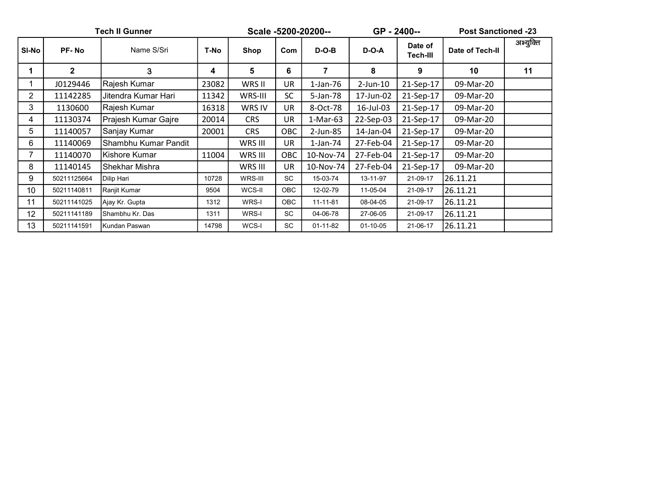|                |              | <b>Tech II Gunner</b> |       |            |            | Scale -5200-20200-- | GP - 2400-- |                            | <b>Post Sanctioned -23</b> |           |
|----------------|--------------|-----------------------|-------|------------|------------|---------------------|-------------|----------------------------|----------------------------|-----------|
| SI-No          | <b>PF-No</b> | Name S/Sri            | T-No  | Shop       | Com        | $D-O-B$             | D-O-A       | Date of<br><b>Tech-III</b> | Date of Tech-II            | अभ्युक्ति |
| 1              | $\mathbf{2}$ | 3                     | 4     | 5          | 6          | 7                   | 8           | 9                          | 10                         | 11        |
|                | J0129446     | Rajesh Kumar          | 23082 | WRS II     | UR         | $1$ -Jan-76         | $2$ -Jun-10 | 21-Sep-17                  | 09-Mar-20                  |           |
| $\overline{2}$ | 11142285     | Jitendra Kumar Hari   | 11342 | WRS-III    | <b>SC</b>  | 5-Jan-78            | 17-Jun-02   | 21-Sep-17                  | 09-Mar-20                  |           |
| 3              | 1130600      | Rajesh Kumar          | 16318 | WRS IV     | UR.        | 8-Oct-78            | 16-Jul-03   | 21-Sep-17                  | 09-Mar-20                  |           |
| 4              | 11130374     | Prajesh Kumar Gajre   | 20014 | <b>CRS</b> | UR         | $1-Mar-63$          | 22-Sep-03   | 21-Sep-17                  | 09-Mar-20                  |           |
| 5              | 11140057     | Sanjay Kumar          | 20001 | <b>CRS</b> | OBC        | 2-Jun-85            | 14-Jan-04   | 21-Sep-17                  | 09-Mar-20                  |           |
| 6              | 11140069     | Shambhu Kumar Pandit  |       | WRS III    | <b>UR</b>  | 1-Jan-74            | 27-Feb-04   | 21-Sep-17                  | 09-Mar-20                  |           |
| 7              | 11140070     | lKishore Kumar        | 11004 | WRS III    | OBC        | 10-Nov-74           | 27-Feb-04   | 21-Sep-17                  | 09-Mar-20                  |           |
| 8              | 11140145     | Shekhar Mishra        |       | WRS III    | UR         | 10-Nov-74           | 27-Feb-04   | 21-Sep-17                  | 09-Mar-20                  |           |
| 9              | 50211125664  | Dilip Hari            | 10728 | WRS-III    | SC         | 15-03-74            | 13-11-97    | 21-09-17                   | 26.11.21                   |           |
| 10             | 50211140811  | Ranjit Kumar          | 9504  | WCS-II     | <b>OBC</b> | 12-02-79            | 11-05-04    | 21-09-17                   | 26.11.21                   |           |
| 11             | 50211141025  | Ajay Kr. Gupta        | 1312  | WRS-I      | <b>OBC</b> | 11-11-81            | 08-04-05    | 21-09-17                   | 26.11.21                   |           |
| 12             | 50211141189  | Shambhu Kr. Das       | 1311  | WRS-I      | SC         | 04-06-78            | 27-06-05    | 21-09-17                   | 26.11.21                   |           |
| 13             | 50211141591  | Kundan Paswan         | 14798 | WCS-I      | <b>SC</b>  | 01-11-82            | 01-10-05    | 21-06-17                   | 26.11.21                   |           |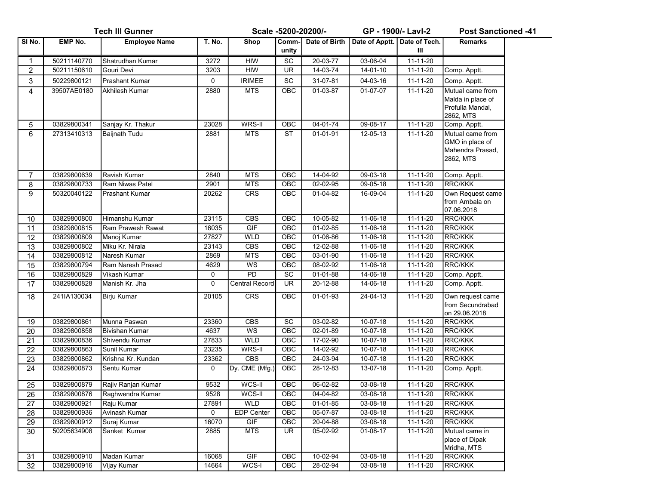|                 |                | <b>Tech III Gunner</b> |        | Scale -5200-20200/-<br>GP - 1900/- Lavl-2 |                 | <b>Post Sanctioned -41</b> |                                |                |                                                                        |  |
|-----------------|----------------|------------------------|--------|-------------------------------------------|-----------------|----------------------------|--------------------------------|----------------|------------------------------------------------------------------------|--|
| SI No.          | <b>EMP No.</b> | <b>Employee Name</b>   | T. No. | <b>Shop</b>                               | Comm-l<br>unity | Date of Birth              | Date of Apptt.   Date of Tech. | Ш              | <b>Remarks</b>                                                         |  |
| $\mathbf{1}$    | 50211140770    | Shatrudhan Kumar       | 3272   | <b>HIW</b>                                | SC              | 20-03-77                   | 03-06-04                       | 11-11-20       |                                                                        |  |
| $\overline{c}$  | 50211150610    | Gouri Devi             | 3203   | <b>HIW</b>                                | <b>UR</b>       | 14-03-74                   | 14-01-10                       | 11-11-20       | Comp. Apptt.                                                           |  |
| $\mathfrak{S}$  | 50229800121    | Prashant Kumar         | 0      | <b>IRIMEE</b>                             | SC              | 31-07-81                   | 04-03-16                       | 11-11-20       | Comp. Apptt.                                                           |  |
| $\overline{4}$  | 39507AE0180    | Akhilesh Kumar         | 2880   | <b>MTS</b>                                | OBC             | $01 - 03 - 87$             | 01-07-07                       | 11-11-20       | Mutual came from<br>Malda in place of<br>Profulla Mandal,<br>2862, MTS |  |
| 5               | 03829800341    | Sanjay Kr. Thakur      | 23028  | WRS-II                                    | OBC             | 04-01-74                   | 09-08-17                       | 11-11-20       | Comp. Apptt.                                                           |  |
| 6               | 27313410313    | Baijnath Tudu          | 2881   | <b>MTS</b>                                | ST              | 01-01-91                   | 12-05-13                       | $11 - 11 - 20$ | Mutual came from<br>GMO in place of<br>Mahendra Prasad,<br>2862, MTS   |  |
| $\overline{7}$  | 03829800639    | Ravish Kumar           | 2840   | <b>MTS</b>                                | OBC             | 14-04-92                   | 09-03-18                       | 11-11-20       | Comp. Apptt.                                                           |  |
| 8               | 03829800733    | Ram Niwas Patel        | 2901   | <b>MTS</b>                                | OBC             | 02-02-95                   | 09-05-18                       | 11-11-20       | <b>RRC/KKK</b>                                                         |  |
| 9               | 50320040122    | <b>Prashant Kumar</b>  | 20262  | <b>CRS</b>                                | OBC             | 01-04-82                   | 16-09-04                       | 11-11-20       | Own Request came<br>from Ambala on<br>07.06.2018                       |  |
| 10              | 03829800800    | Himanshu Kumar         | 23115  | <b>CBS</b>                                | OBC             | 10-05-82                   | 11-06-18                       | 11-11-20       | <b>RRC/KKK</b>                                                         |  |
| 11              | 03829800815    | Ram Prawesh Rawat      | 16035  | GIF                                       | OBC             | $01-02-85$                 | 11-06-18                       | 11-11-20       | <b>RRC/KKK</b>                                                         |  |
| 12              | 03829800809    | Manoj Kumar            | 27827  | <b>WLD</b>                                | <b>OBC</b>      | 01-06-86                   | 11-06-18                       | 11-11-20       | <b>RRC/KKK</b>                                                         |  |
| 13              | 03829800802    | Miku Kr. Nirala        | 23143  | CBS                                       | OBC             | 12-02-88                   | 11-06-18                       | 11-11-20       | <b>RRC/KKK</b>                                                         |  |
| $\overline{14}$ | 03829800812    | Naresh Kumar           | 2869   | <b>MTS</b>                                | OBC             | 03-01-90                   | 11-06-18                       | 11-11-20       | <b>RRC/KKK</b>                                                         |  |
| 15              | 03829800794    | Ram Naresh Prasad      | 4629   | W <sub>S</sub>                            | OBC             | 08-02-92                   | 11-06-18                       | 11-11-20       | RRC/KKK                                                                |  |
| 16              | 03829800829    | Vikash Kumar           | 0      | $\overline{PD}$                           | SC              | $01-01-88$                 | 14-06-18                       | 11-11-20       | Comp. Apptt.                                                           |  |
| 17              | 03829800828    | Manish Kr. Jha         | 0      | <b>Central Record</b>                     | <b>UR</b>       | 20-12-88                   | 14-06-18                       | 11-11-20       | Comp. Apptt.                                                           |  |
| 18              | 241IA130034    | Birju Kumar            | 20105  | <b>CRS</b>                                | <b>OBC</b>      | $01-01-93$                 | 24-04-13                       | 11-11-20       | Own request came<br>from Secundrabad<br>on 29.06.2018                  |  |
| 19              | 03829800861    | Munna Paswan           | 23360  | CBS                                       | $\overline{SC}$ | $03-02-82$                 | $10-07-18$                     | 11-11-20       | RRC/KKK                                                                |  |
| 20              | 03829800858    | Bivishan Kumar         | 4637   | WS                                        | OBC             | 02-01-89                   | 10-07-18                       | 11-11-20       | <b>RRC/KKK</b>                                                         |  |
| 21              | 03829800836    | Shivendu Kumar         | 27833  | <b>WLD</b>                                | OBC             | 17-02-90                   | $10-07-18$                     | 11-11-20       | RRC/KKK                                                                |  |
| 22              | 03829800863    | Sunil Kumar            | 23235  | WRS-II                                    | OBC             | 14-02-92                   | 10-07-18                       | 11-11-20       | RRC/KKK                                                                |  |
| 23              | 03829800862    | Krishna Kr. Kundan     | 23362  | <b>CBS</b>                                | OBC             | 24-03-94                   | 10-07-18                       | 11-11-20       | RRC/KKK                                                                |  |
| 24              | 03829800873    | Sentu Kumar            | 0      | Dy. CME (Mfg.)                            | <b>OBC</b>      | 28-12-83                   | 13-07-18                       | 11-11-20       | Comp. Apptt.                                                           |  |
| 25              | 03829800879    | Rajiv Ranjan Kumar     | 9532   | WCS-II                                    | OBC             | 06-02-82                   | 03-08-18                       | 11-11-20       | <b>RRC/KKK</b>                                                         |  |
| 26              | 03829800876    | Raghwendra Kumar       | 9528   | WCS-II                                    | OBC             | 04-04-82                   | 03-08-18                       | 11-11-20       | <b>RRC/KKK</b>                                                         |  |
| 27              | 03829800921    | Raju Kumar             | 27891  | <b>WLD</b>                                | OBC             | 01-01-85                   | 03-08-18                       | 11-11-20       | <b>RRC/KKK</b>                                                         |  |
| 28              | 03829800936    | Avinash Kumar          | 0      | <b>EDP Center</b>                         | OBC             | 05-07-87                   | 03-08-18                       | 11-11-20       | <b>RRC/KKK</b>                                                         |  |
| 29              | 03829800912    | Suraj Kumar            | 16070  | GIF                                       | OBC             | 20-04-88                   | 03-08-18                       | 11-11-20       | <b>RRC/KKK</b>                                                         |  |
| 30              | 50205634908    | Sanket Kumar           | 2885   | <b>MTS</b>                                | UR              | 05-02-92                   | 01-08-17                       | 11-11-20       | Mutual came in<br>place of Dipak<br>Mridha, MTS                        |  |
| 31              | 03829800910    | Madan Kumar            | 16068  | GIF                                       | OBC             | 10-02-94                   | 03-08-18                       | 11-11-20       | <b>RRC/KKK</b>                                                         |  |
| 32              | 03829800916    | Vijay Kumar            | 14664  | WCS-I                                     | OBC             | $28-02-94$                 | 03-08-18                       | 11-11-20       | <b>RRC/KKK</b>                                                         |  |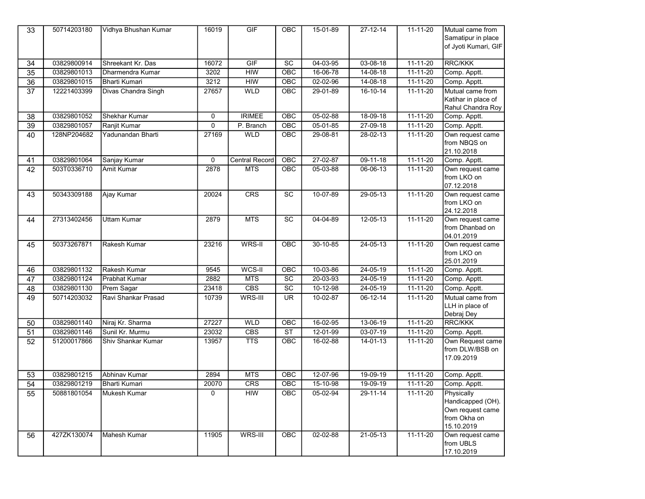| 33              | 50714203180 | Vidhya Bhushan Kumar | 16019       | <b>GIF</b>            | OBC                    | 15-01-89       | 27-12-14       | 11-11-20       | Mutual came from<br>Samatipur in place<br>of Jyoti Kumari, GIF                           |
|-----------------|-------------|----------------------|-------------|-----------------------|------------------------|----------------|----------------|----------------|------------------------------------------------------------------------------------------|
| 34              | 03829800914 | Shreekant Kr. Das    | 16072       | GIF                   | $\overline{SC}$        | 04-03-95       | $03 - 08 - 18$ | $11 - 11 - 20$ | <b>RRC/KKK</b>                                                                           |
| 35              | 03829801013 | Dharmendra Kumar     | 3202        | <b>HIW</b>            | OBC                    | 16-06-78       | 14-08-18       | $11 - 11 - 20$ | Comp. Apptt.                                                                             |
| 36              | 03829801015 | <b>Bharti Kumari</b> | 3212        | <b>HIW</b>            | OBC                    | $02 - 02 - 96$ | 14-08-18       | 11-11-20       | Comp. Apptt.                                                                             |
| 37              | 12221403399 | Divas Chandra Singh  | 27657       | <b>WLD</b>            | OBC                    | 29-01-89       | 16-10-14       | 11-11-20       | Mutual came from<br>Katihar in place of<br>Rahul Chandra Roy                             |
| 38              | 03829801052 | <b>Shekhar Kumar</b> | 0           | <b>IRIMEE</b>         | OBC                    | 05-02-88       | 18-09-18       | $11 - 11 - 20$ | Comp. Apptt.                                                                             |
| 39              | 03829801057 | Ranjit Kumar         | $\mathbf 0$ | P. Branch             | OBC                    | $05-01-85$     | 27-09-18       | $11 - 11 - 20$ | Comp. Apptt.                                                                             |
| 40              | 128NP204682 | Yadunandan Bharti    | 27169       | <b>WLD</b>            | OBC                    | 29-08-81       | 28-02-13       | $11 - 11 - 20$ | Own request came<br>from NBQS on<br>21.10.2018                                           |
| 41              | 03829801064 | Sanjay Kumar         | 0           | <b>Central Record</b> | OBC                    | 27-02-87       | $09-11-18$     | $11 - 11 - 20$ | Comp. Apptt.                                                                             |
| 42              | 503T0336710 | Amit Kumar           | 2878        | <b>MTS</b>            | OBC                    | 05-03-88       | $06 - 06 - 13$ | $11 - 11 - 20$ | Own request came<br>from LKO on<br>07.12.2018                                            |
| 43              | 50343309188 | Ajay Kumar           | 20024       | CRS                   | SC                     | 10-07-89       | 29-05-13       | 11-11-20       | Own request came<br>from LKO on<br>24.12.2018                                            |
| 44              | 27313402456 | <b>Uttam Kumar</b>   | 2879        | <b>MTS</b>            | SC                     | 04-04-89       | 12-05-13       | 11-11-20       | Own request came<br>from Dhanbad on<br>04.01.2019                                        |
| 45              | 50373267871 | Rakesh Kumar         | 23216       | WRS-II                | OBC                    | $30 - 10 - 85$ | 24-05-13       | 11-11-20       | Own request came<br>from LKO on<br>25.01.2019                                            |
| 46              | 03829801132 | Rakesh Kumar         | 9545        | WCS-II                | OBC                    | 10-03-86       | 24-05-19       | $11 - 11 - 20$ | Comp. Apptt.                                                                             |
| 47              | 03829801124 | <b>Prabhat Kumar</b> | 2882        | <b>MTS</b>            | $\overline{SC}$        | 20-03-93       | 24-05-19       | 11-11-20       | Comp. Apptt.                                                                             |
| 48              | 03829801130 | Prem Sagar           | 23418       | <b>CBS</b>            | SC                     | $10 - 12 - 98$ | 24-05-19       | $11 - 11 - 20$ | Comp. Apptt.                                                                             |
| 49              | 50714203032 | Ravi Shankar Prasad  | 10739       | WRS-III               | $\overline{\text{UR}}$ | 10-02-87       | $06 - 12 - 14$ | 11-11-20       | Mutual came from<br>LLH in place of<br>Debraj Dey                                        |
| 50              | 03829801140 | Niraj Kr. Sharma     | 27227       | <b>WLD</b>            | OBC                    | 16-02-95       | 13-06-19       | $11 - 11 - 20$ | RRC/KKK                                                                                  |
| 51              | 03829801146 | Sunil Kr. Murmu      | 23032       | <b>CBS</b>            | $\overline{\text{ST}}$ | 12-01-99       | 03-07-19       | 11-11-20       | Comp. Apptt.                                                                             |
| 52              | 51200017866 | Shiv Shankar Kumar   | 13957       | $\overline{TTS}$      | OBC                    | 16-02-88       | $14-01-13$     | $11 - 11 - 20$ | Own Request came<br>from DLW/BSB on<br>17.09.2019                                        |
| 53              | 03829801215 | Abhinav Kumar        | 2894        | <b>MTS</b>            | OBC                    | 12-07-96       | 19-09-19       | 11-11-20       | Comp. Apptt.                                                                             |
| $\overline{54}$ | 03829801219 | <b>Bharti Kumari</b> | 20070       | CRS                   | OBC                    | 15-10-98       | 19-09-19       | $11 - 11 - 20$ | Comp. Apptt.                                                                             |
| 55              | 50881801054 | ∣Mukesh Kumar        | 0           | <b>HIW</b>            | OBC                    | 05-02-94       | 29-11-14       | 11-11-20       | <b>Physically</b><br>Handicapped (OH).<br>Own request came<br>from Okha on<br>15.10.2019 |
| 56              | 427ZK130074 | Mahesh Kumar         | 11905       | WRS-III               | OBC                    | 02-02-88       | $21 - 05 - 13$ | $11 - 11 - 20$ | Own request came<br>from UBLS<br>17.10.2019                                              |